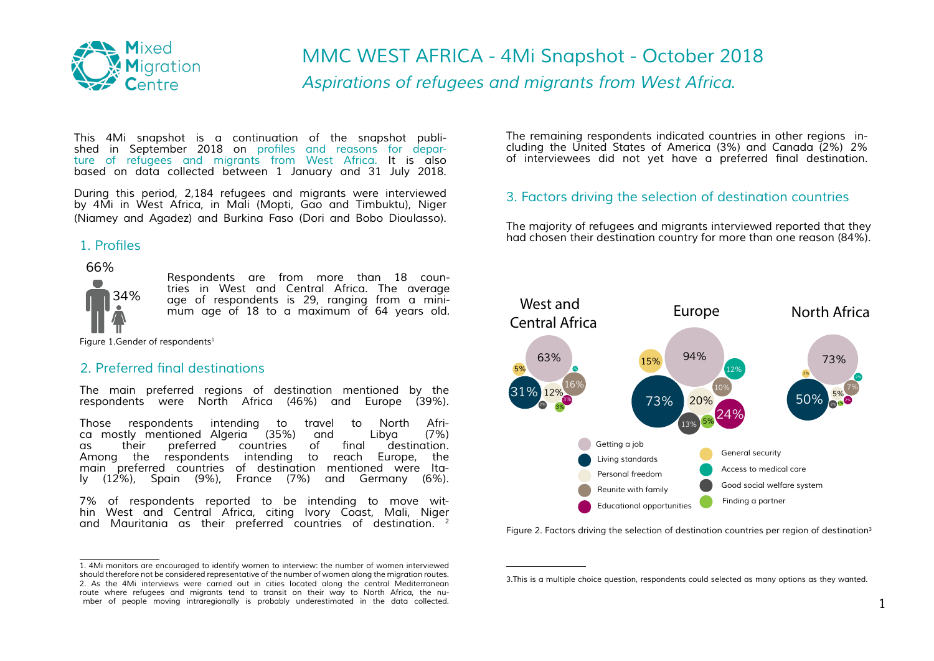

# *Aspirations of refugees and migrants from West Africa. MMC WEST AFRICA - 4Mi Snapshot - October 2018*

*This 4Mi snapshot is a continuation of the snapshot published in September 2018 on* [profiles and reasons for depar](http://www.mixedmigration.org/resource/4mi-trend-report-west-africa-september-2018/)*[ture of refugees and migrants from West Africa.](http://www.mixedmigration.org/resource/4mi-trend-report-west-africa-september-2018/) It is also based on data collected between 1 January and 31 July 2018.*

*During this period, 2,184 refugees and migrants were interviewed by 4Mi in West Africa, in Mali (Mopti, Gao and Timbuktu), Niger (Niamey and Agadez) and Burkina Faso (Dori and Bobo Dioulasso).*

# 1. Profiles

 *66% 34%* 

*Respondents are from more than 18 countries in West and Central Africa. The average age of respondents is 29, ranging from a minimum age of 18 to a maximum of 64 years old.*

*Figure 1.Gender of respondents1*

### 2. Preferred final destinations

The main preferred regions of destination mentioned by the *respondents were North Africa (46%) and Europe (39%).* 

*Those respondents intending to travel to North Africa mostly mentioned Algeria (35%) and Libya (7%)*  of final destination.<br>to reach Europe, the Among the respondents intending *main preferred countries of destination mentioned were Italy (12%), Spain (9%), France (7%) and Germany (6%).*

*7% of respondents reported to be intending to move wit- hin West and Central Africa, citing Ivory Coast, Mali, Niger and Mauritania as their preferred countries of destination. 2*

*1. 4Mi monitors are encouraged to identify women to interview: the number of women interviewed should therefore not be considered representative of the number of women along the migration routes. 2. As the 4Mi interviews were carried out in cities located along the central Mediterranean route where refugees and migrants tend to transit on their way to North Africa, the number of people moving intraregionally is probably underestimated in the data collected.*

*The remaining respondents indicated countries in other regions including the United States of America (3%) and Canada (2%). 2%*  of interviewees did not yet have a preferred final destination.

# *3. Factors driving the selection of destination countries*

*The majority of refugees and migrants interviewed reported that they had chosen their destination country for more than one reason (84%).*



*Figure 2. Factors driving the selection of destination countries per region of destination3*

*<sup>3.</sup>This is a multiple choice question, respondents could selected as many options as they wanted.*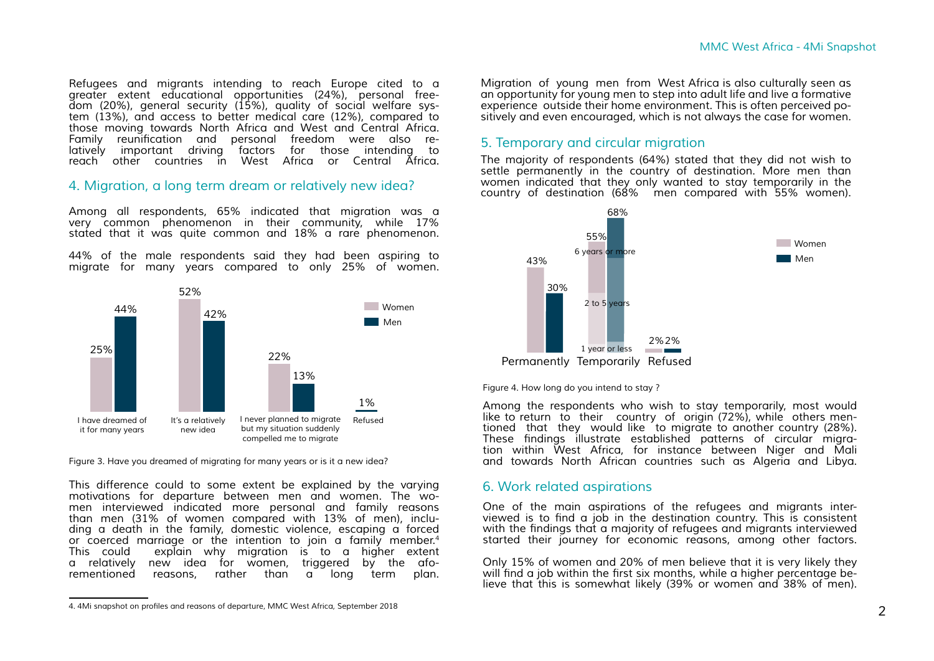*Refugees and migrants intending to reach Europe cited to a greater extent educational opportunities (24%), personal freedom (20%), general security (15%), quality of social welfare system (13%), and access to better medical care (12%), compared to those moving towards North Africa and West and Central Africa.* Family reunification and personal freedom were also re*latively important driving factors for those intending to reach other countries in West Africa or Central Africa.*

#### *4. Migration, a long term dream or relatively new idea?*

*Among all respondents, 65% indicated that migration was a very common phenomenon in their community, while 17% stated that it was quite common and 18% a rare phenomenon.* 

*44% of the male respondents said they had been aspiring to migrate for many years compared to only 25% of women.*



*Figure 3. Have you dreamed of migrating for many years or is it a new idea?*

*This difference could to some extent be explained by the varying motivations for departure between men and women. The women interviewed indicated more personal and family reasons than men (31% of women compared with 13% of men), including a death in the family, domestic violence, escaping a forced or coerced marriage or the intention to join a family member.4 This could explain why migration is to a higher extent a relatively new idea for women, triggered by the aforementioned reasons, rather than a long term plan.* 

*Migration of young men from West Africa is also culturally seen as an opportunity for young men to step into adult life and live a formative experience outside their home environment. This is often perceived po- sitively and even encouraged, which is not always the case for women.* 

#### *5. Temporary and circular migration*

*The majority of respondents (64%) stated that they did not wish to settle permanently in the country of destination. More men than women indicated that they only wanted to stay temporarily in the country of destination (68% men compared with 55% women).* 



*Figure 4. How long do you intend to stay ?* 

*Among the respondents who wish to stay temporarily, most would like to return to their country of origin (72%), while others mentioned that they would like to migrate to another country (28%).*  These findings illustrate established patterns of circular migra*tion within West Africa, for instance between Niger and Mali and towards North African countries such as Algeria and Libya.*

#### *6. Work related aspirations*

*One of the main aspirations of the refugees and migrants inter*viewed is to find a job in the destination country. This is consistent with the findings that a majority of refugees and migrants interviewed *started their journey for economic reasons, among other factors.*

*Only 15% of women and 20% of men believe that it is very likely they*  will find a job within the first six months, while a higher percentage be*lieve that this is somewhat likely (39% or women and 38% of men).* 

<sup>4. 4</sup>Mi snapshot on profiles and reasons of departure, MMC West Africa, September 2018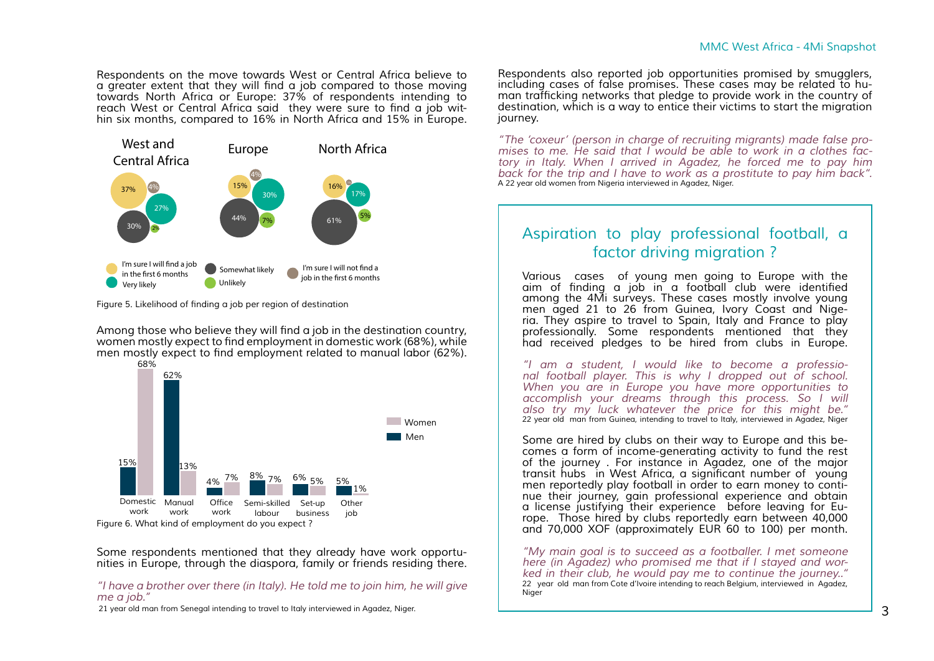*Respondents on the move towards West or Central Africa believe to*  a greater extent that they will find a job compared to those moving *towards North Africa or Europe: 37% of respondents intending to*  reach West or Central Africa said they were sure to find a job wit*hin six months, compared to 16% in North Africa and 15% in Europe.* 



Figure 5. Likelihood of finding a job per region of destination

Among those who believe they will find a job in the destination country, women mostly expect to find employment in domestic work (68%), while men mostly expect to find employment related to manual labor (62%).



*Some respondents mentioned that they already have work opportunities in Europe, through the diaspora, family or friends residing there.*

*"I have a brother over there (in Italy). He told me to join him, he will give me a job."* 

 *21 year old man from Senegal intending to travel to Italy interviewed in Agadez, Niger.*

*Respondents also reported job opportunities promised by smugglers, including cases of false promises. These cases may be related to hu*man trafficking networks that pledge to provide work in the country of *destination, which is a way to entice their victims to start the migration journey.*

*"The 'coxeur' (person in charge of recruiting migrants) made false promises to me. He said that I would be able to work in a clothes factory in Italy. When I arrived in Agadez, he forced me to pay him back for the trip and I have to work as a prostitute to pay him back". A 22 year old women from Nigeria interviewed in Agadez, Niger.* 

# *Aspiration to play professional football, a factor driving migration ?*

*Various cases of young men going to Europe with the*  aim of finding a job in a football club were identified *among the 4Mi surveys. These cases mostly involve young men aged 21 to 26 from Guinea, Ivory Coast and Nige- ria. They aspire to travel to Spain, Italy and France to play professionally. Some respondents mentioned that they had received pledges to be hired from clubs in Europe.*

*"I am a student, I would like to become a professional football player. This is why I dropped out of school. When you are in Europe you have more opportunities to accomplish your dreams through this process. So I will also try my luck whatever the price for this might be." 22 year old man from Guinea, intending to travel to Italy, interviewed in Agadez, Niger*

*Some are hired by clubs on their way to Europe and this be- comes a form of income-generating activity to fund the rest of the journey . For instance in Agadez, one of the major*  transit hubs in West Africa, a significant number of young *men reportedly play football in order to earn money to continue their journey, gain professional experience and obtain a license justifying their experience before leaving for Europe. Those hired by clubs reportedly earn between 40,000 and 70,000 XOF (approximately EUR 60 to 100) per month.*

*"My main goal is to succeed as a footballer. I met someone here (in Agadez) who promised me that if I stayed and worked in their club, he would pay me to continue the journey.." 22 year old man from Cote d'Ivoire intending to reach Belgium, interviewed in Agadez, Niger*